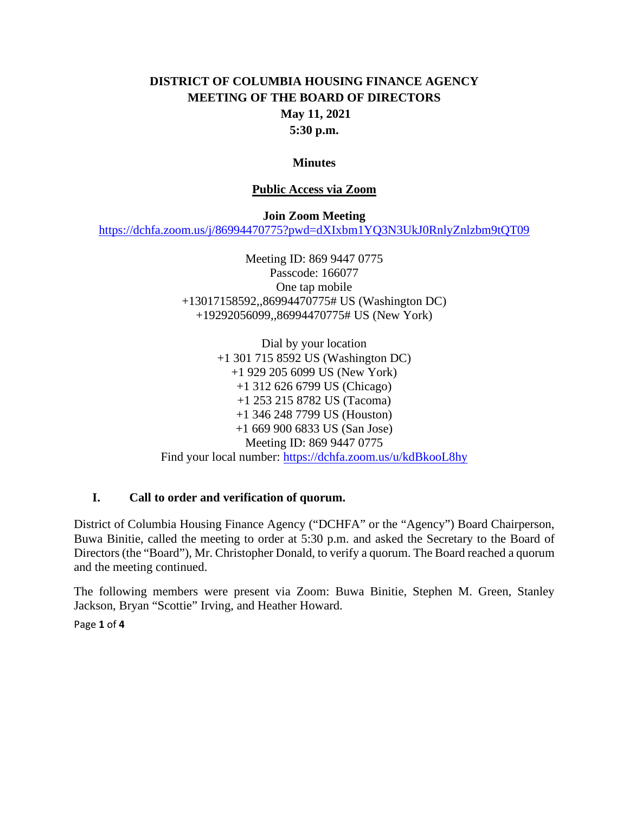# **DISTRICT OF COLUMBIA HOUSING FINANCE AGENCY MEETING OF THE BOARD OF DIRECTORS May 11, 2021 5:30 p.m.**

#### **Minutes**

#### **Public Access via Zoom**

#### **Join Zoom Meeting**

<https://dchfa.zoom.us/j/86994470775?pwd=dXIxbm1YQ3N3UkJ0RnlyZnlzbm9tQT09>

Meeting ID: 869 9447 0775 Passcode: 166077 One tap mobile +13017158592,,86994470775# US (Washington DC) +19292056099,,86994470775# US (New York)

Dial by your location +1 301 715 8592 US (Washington DC) +1 929 205 6099 US (New York) +1 312 626 6799 US (Chicago) +1 253 215 8782 US (Tacoma) +1 346 248 7799 US (Houston) +1 669 900 6833 US (San Jose) Meeting ID: 869 9447 0775 Find your local number:<https://dchfa.zoom.us/u/kdBkooL8hy>

#### **I. Call to order and verification of quorum.**

District of Columbia Housing Finance Agency ("DCHFA" or the "Agency") Board Chairperson, Buwa Binitie, called the meeting to order at 5:30 p.m. and asked the Secretary to the Board of Directors (the "Board"), Mr. Christopher Donald, to verify a quorum. The Board reached a quorum and the meeting continued.

The following members were present via Zoom: Buwa Binitie, Stephen M. Green, Stanley Jackson, Bryan "Scottie" Irving, and Heather Howard.

Page **1** of **4**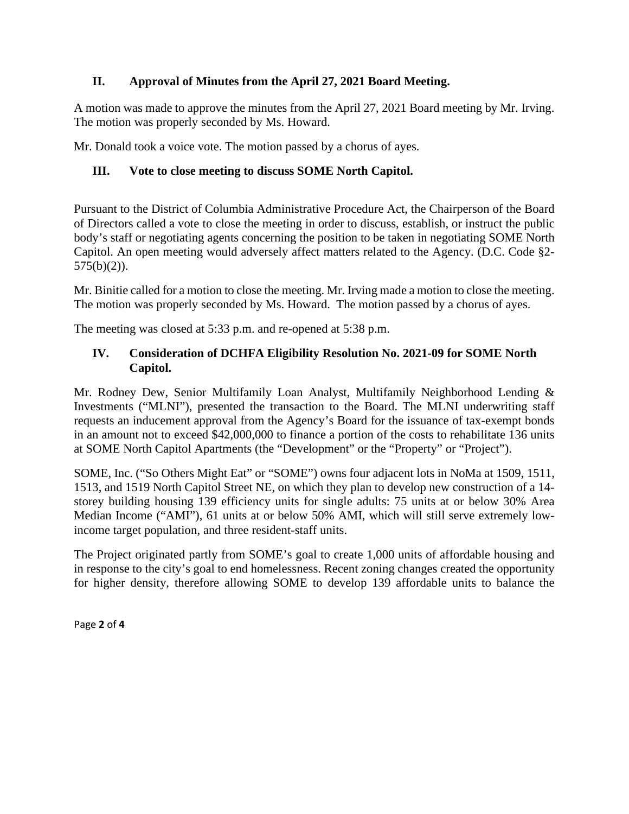# **II. Approval of Minutes from the April 27, 2021 Board Meeting.**

A motion was made to approve the minutes from the April 27, 2021 Board meeting by Mr. Irving. The motion was properly seconded by Ms. Howard.

Mr. Donald took a voice vote. The motion passed by a chorus of ayes.

# **III. Vote to close meeting to discuss SOME North Capitol.**

Pursuant to the District of Columbia Administrative Procedure Act, the Chairperson of the Board of Directors called a vote to close the meeting in order to discuss, establish, or instruct the public body's staff or negotiating agents concerning the position to be taken in negotiating SOME North Capitol. An open meeting would adversely affect matters related to the Agency. (D.C. Code §2- 575(b)(2)).

Mr. Binitie called for a motion to close the meeting. Mr. Irving made a motion to close the meeting. The motion was properly seconded by Ms. Howard. The motion passed by a chorus of ayes.

The meeting was closed at 5:33 p.m. and re-opened at 5:38 p.m.

### **IV. Consideration of DCHFA Eligibility Resolution No. 2021-09 for SOME North Capitol.**

Mr. Rodney Dew, Senior Multifamily Loan Analyst, Multifamily Neighborhood Lending & Investments ("MLNI"), presented the transaction to the Board. The MLNI underwriting staff requests an inducement approval from the Agency's Board for the issuance of tax-exempt bonds in an amount not to exceed \$42,000,000 to finance a portion of the costs to rehabilitate 136 units at SOME North Capitol Apartments (the "Development" or the "Property" or "Project").

SOME, Inc. ("So Others Might Eat" or "SOME") owns four adjacent lots in NoMa at 1509, 1511, 1513, and 1519 North Capitol Street NE, on which they plan to develop new construction of a 14 storey building housing 139 efficiency units for single adults: 75 units at or below 30% Area Median Income ("AMI"), 61 units at or below 50% AMI, which will still serve extremely lowincome target population, and three resident-staff units.

The Project originated partly from SOME's goal to create 1,000 units of affordable housing and in response to the city's goal to end homelessness. Recent zoning changes created the opportunity for higher density, therefore allowing SOME to develop 139 affordable units to balance the

Page **2** of **4**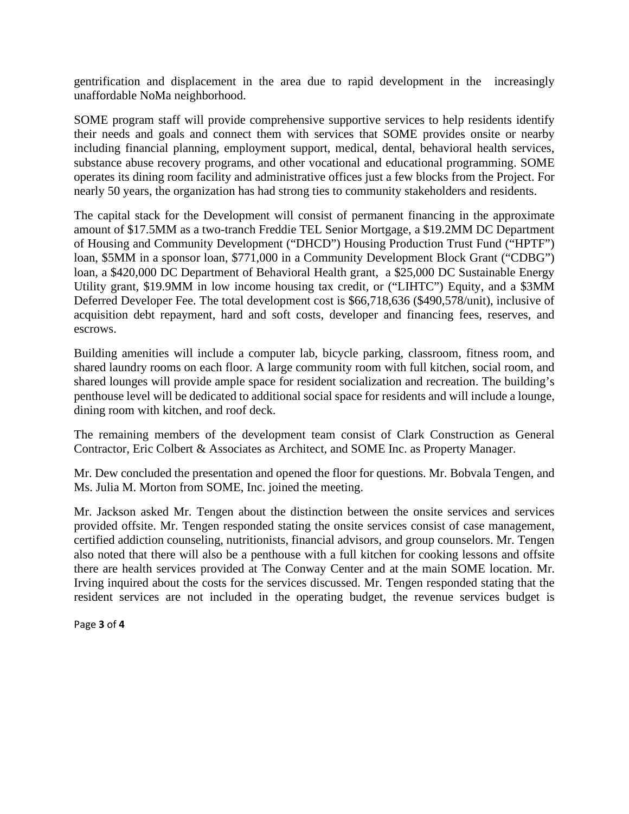gentrification and displacement in the area due to rapid development in the increasingly unaffordable NoMa neighborhood.

SOME program staff will provide comprehensive supportive services to help residents identify their needs and goals and connect them with services that SOME provides onsite or nearby including financial planning, employment support, medical, dental, behavioral health services, substance abuse recovery programs, and other vocational and educational programming. SOME operates its dining room facility and administrative offices just a few blocks from the Project. For nearly 50 years, the organization has had strong ties to community stakeholders and residents.

The capital stack for the Development will consist of permanent financing in the approximate amount of \$17.5MM as a two-tranch Freddie TEL Senior Mortgage, a \$19.2MM DC Department of Housing and Community Development ("DHCD") Housing Production Trust Fund ("HPTF") loan, \$5MM in a sponsor loan, \$771,000 in a Community Development Block Grant ("CDBG") loan, a \$420,000 DC Department of Behavioral Health grant, a \$25,000 DC Sustainable Energy Utility grant, \$19.9MM in low income housing tax credit, or ("LIHTC") Equity, and a \$3MM Deferred Developer Fee. The total development cost is \$66,718,636 (\$490,578/unit), inclusive of acquisition debt repayment, hard and soft costs, developer and financing fees, reserves, and escrows.

Building amenities will include a computer lab, bicycle parking, classroom, fitness room, and shared laundry rooms on each floor. A large community room with full kitchen, social room, and shared lounges will provide ample space for resident socialization and recreation. The building's penthouse level will be dedicated to additional social space for residents and will include a lounge, dining room with kitchen, and roof deck.

The remaining members of the development team consist of Clark Construction as General Contractor, Eric Colbert & Associates as Architect, and SOME Inc. as Property Manager.

Mr. Dew concluded the presentation and opened the floor for questions. Mr. Bobvala Tengen, and Ms. Julia M. Morton from SOME, Inc. joined the meeting.

Mr. Jackson asked Mr. Tengen about the distinction between the onsite services and services provided offsite. Mr. Tengen responded stating the onsite services consist of case management, certified addiction counseling, nutritionists, financial advisors, and group counselors. Mr. Tengen also noted that there will also be a penthouse with a full kitchen for cooking lessons and offsite there are health services provided at The Conway Center and at the main SOME location. Mr. Irving inquired about the costs for the services discussed. Mr. Tengen responded stating that the resident services are not included in the operating budget, the revenue services budget is

Page **3** of **4**